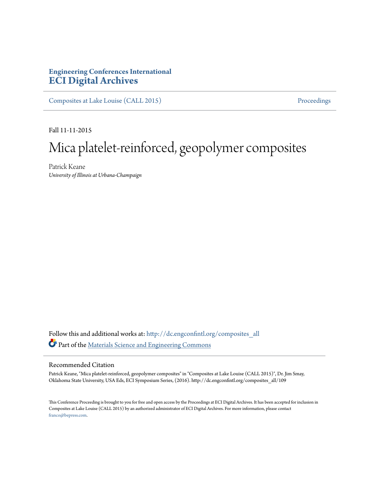## **Engineering Conferences International [ECI Digital Archives](http://dc.engconfintl.org?utm_source=dc.engconfintl.org%2Fcomposites_all%2F109&utm_medium=PDF&utm_campaign=PDFCoverPages)**

[Composites at Lake Louise \(CALL 2015\)](http://dc.engconfintl.org/composites_all?utm_source=dc.engconfintl.org%2Fcomposites_all%2F109&utm_medium=PDF&utm_campaign=PDFCoverPages) [Proceedings](http://dc.engconfintl.org/proceedings?utm_source=dc.engconfintl.org%2Fcomposites_all%2F109&utm_medium=PDF&utm_campaign=PDFCoverPages)

Fall 11-11-2015

## Mica platelet-reinforced, geopolymer composites

Patrick Keane *University of Illinois at Urbana-Champaign*

Follow this and additional works at: [http://dc.engconfintl.org/composites\\_all](http://dc.engconfintl.org/composites_all?utm_source=dc.engconfintl.org%2Fcomposites_all%2F109&utm_medium=PDF&utm_campaign=PDFCoverPages) Part of the [Materials Science and Engineering Commons](http://network.bepress.com/hgg/discipline/285?utm_source=dc.engconfintl.org%2Fcomposites_all%2F109&utm_medium=PDF&utm_campaign=PDFCoverPages)

## Recommended Citation

Patrick Keane, "Mica platelet-reinforced, geopolymer composites" in "Composites at Lake Louise (CALL 2015)", Dr. Jim Smay, Oklahoma State University, USA Eds, ECI Symposium Series, (2016). http://dc.engconfintl.org/composites\_all/109

This Conference Proceeding is brought to you for free and open access by the Proceedings at ECI Digital Archives. It has been accepted for inclusion in Composites at Lake Louise (CALL 2015) by an authorized administrator of ECI Digital Archives. For more information, please contact [franco@bepress.com.](mailto:franco@bepress.com)